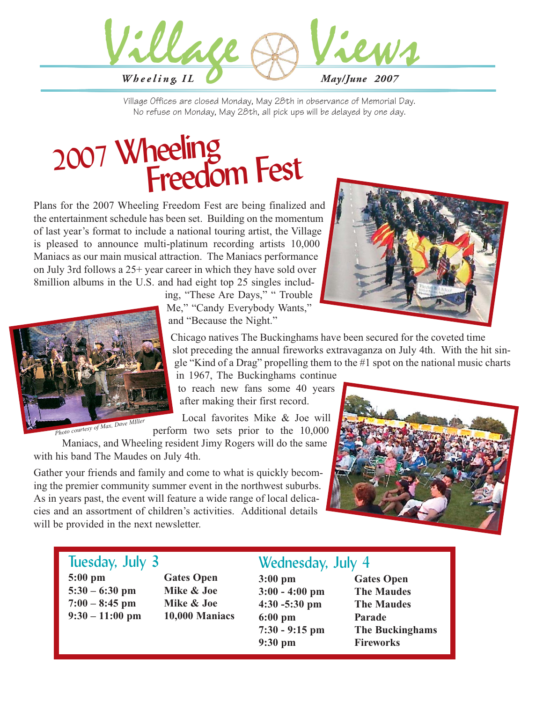

Village Offices are closed Monday, May 28th in observance of Memorial Day. No refuse on Monday, May 28th, all pick ups will be delayed by one day.

# <sup>2007</sup> Wheeling Freedom Fest

Plans for the 2007 Wheeling Freedom Fest are being finalized and the entertainment schedule has been set. Building on the momentum of last year's format to include a national touring artist, the Village is pleased to announce multi-platinum recording artists 10,000 Maniacs as our main musical attraction. The Maniacs performance on July 3rd follows a 25+ year career in which they have sold over 8million albums in the U.S. and had eight top 25 singles includ-



ing, "These Are Days," " Trouble Me," "Candy Everybody Wants," and "Because the Night."

Chicago natives The Buckinghams have been secured for the coveted time slot preceding the annual fireworks extravaganza on July 4th. With the hit single "Kind of a Drag" propelling them to the #1 spot on the national music charts

in 1967, The Buckinghams continue to reach new fans some 40 years

after making their first record.

Local favorites Mike & Joe will perform two sets prior to the 10,000

Maniacs, and Wheeling resident Jimy Rogers will do the same with his band The Maudes on July 4th.

Gather your friends and family and come to what is quickly becoming the premier community summer event in the northwest suburbs. As in years past, the event will feature a wide range of local delicacies and an assortment of children's activities. Additional details will be provided in the next newsletter.



## Tuesday, July 3

**5:00 pm Gates Open 5:30 – 6:30 pm Mike & Joe 7:00 – 8:45 pm Mike & Joe**

**9:30 – 11:00 pm 10,000 Maniacs**

# Wednesday, July 4

**3:00 pm Gates Open 3:00 - 4:00 pm The Maudes 4:30 -5:30 pm The Maudes 6:00 pm Parade 9:30 pm Fireworks**

**7:30 - 9:15 pm The Buckinghams**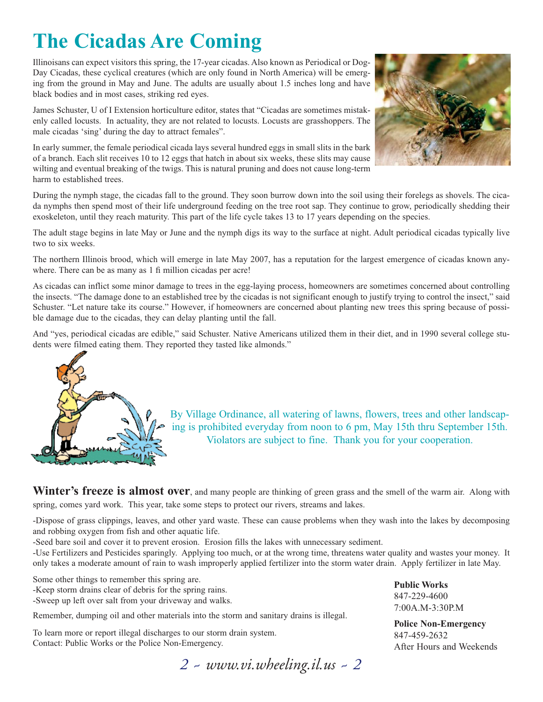# **The Cicadas Are Coming**

Illinoisans can expect visitors this spring, the 17-year cicadas. Also known as Periodical or Dog-Day Cicadas, these cyclical creatures (which are only found in North America) will be emerging from the ground in May and June. The adults are usually about 1.5 inches long and have black bodies and in most cases, striking red eyes.

James Schuster, U of I Extension horticulture editor, states that "Cicadas are sometimes mistakenly called locusts. In actuality, they are not related to locusts. Locusts are grasshoppers. The male cicadas 'sing' during the day to attract females".

In early summer, the female periodical cicada lays several hundred eggs in small slits in the bark of a branch. Each slit receives 10 to 12 eggs that hatch in about six weeks, these slits may cause wilting and eventual breaking of the twigs. This is natural pruning and does not cause long-term harm to established trees.



During the nymph stage, the cicadas fall to the ground. They soon burrow down into the soil using their forelegs as shovels. The cicada nymphs then spend most of their life underground feeding on the tree root sap. They continue to grow, periodically shedding their exoskeleton, until they reach maturity. This part of the life cycle takes 13 to 17 years depending on the species.

The adult stage begins in late May or June and the nymph digs its way to the surface at night. Adult periodical cicadas typically live two to six weeks.

The northern Illinois brood, which will emerge in late May 2007, has a reputation for the largest emergence of cicadas known anywhere. There can be as many as 1 fi million cicadas per acre!

As cicadas can inflict some minor damage to trees in the egg-laying process, homeowners are sometimes concerned about controlling the insects. "The damage done to an established tree by the cicadas is not significant enough to justify trying to control the insect," said Schuster. "Let nature take its course." However, if homeowners are concerned about planting new trees this spring because of possible damage due to the cicadas, they can delay planting until the fall.

And "yes, periodical cicadas are edible," said Schuster. Native Americans utilized them in their diet, and in 1990 several college students were filmed eating them. They reported they tasted like almonds."



By Village Ordinance, all watering of lawns, flowers, trees and other landscaping is prohibited everyday from noon to 6 pm, May 15th thru September 15th. Violators are subject to fine. Thank you for your cooperation.

Winter's freeze is almost over, and many people are thinking of green grass and the smell of the warm air. Along with spring, comes yard work. This year, take some steps to protect our rivers, streams and lakes.

-Dispose of grass clippings, leaves, and other yard waste. These can cause problems when they wash into the lakes by decomposing and robbing oxygen from fish and other aquatic life.

-Seed bare soil and cover it to prevent erosion. Erosion fills the lakes with unnecessary sediment.

-Use Fertilizers and Pesticides sparingly. Applying too much, or at the wrong time, threatens water quality and wastes your money. It only takes a moderate amount of rain to wash improperly applied fertilizer into the storm water drain. Apply fertilizer in late May.

Some other things to remember this spring are. -Keep storm drains clear of debris for the spring rains.

-Sweep up left over salt from your driveway and walks.

Remember, dumping oil and other materials into the storm and sanitary drains is illegal.

To learn more or report illegal discharges to our storm drain system. Contact: Public Works or the Police Non-Emergency.

*2 ~ www.vi.wheeling.il.us ~ 2*

**Public Works** 847-229-4600 7:00A.M-3:30P.M

**Police Non-Emergency** 847-459-2632 After Hours and Weekends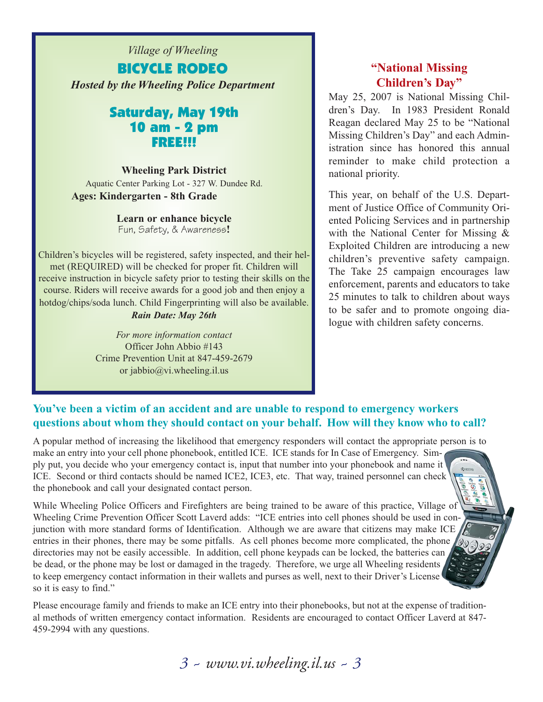*Village of Wheeling* BICYCLE RODEO *Hosted by the Wheeling Police Department*

### Saturday, May 19th 10 am - 2 pm FREE!!!

**Wheeling Park District** 

Aquatic Center Parking Lot - 327 W. Dundee Rd. **Ages: Kindergarten - 8th Grade**

> **Learn or enhance bicycle**  Fun, Safety, & Awareness**!**

Children's bicycles will be registered, safety inspected, and their helmet (REQUIRED) will be checked for proper fit. Children will receive instruction in bicycle safety prior to testing their skills on the course. Riders will receive awards for a good job and then enjoy a hotdog/chips/soda lunch. Child Fingerprinting will also be available. *Rain Date: May 26th*

> *For more information contact* Officer John Abbio #143 Crime Prevention Unit at 847-459-2679 or jabbio@vi.wheeling.il.us

### **"National Missing Children's Day"**

May 25, 2007 is National Missing Children's Day. In 1983 President Ronald Reagan declared May 25 to be "National Missing Children's Day" and each Administration since has honored this annual reminder to make child protection a national priority.

This year, on behalf of the U.S. Department of Justice Office of Community Oriented Policing Services and in partnership with the National Center for Missing & Exploited Children are introducing a new children's preventive safety campaign. The Take 25 campaign encourages law enforcement, parents and educators to take 25 minutes to talk to children about ways to be safer and to promote ongoing dialogue with children safety concerns.

### **You've been a victim of an accident and are unable to respond to emergency workers questions about whom they should contact on your behalf. How will they know who to call?**

A popular method of increasing the likelihood that emergency responders will contact the appropriate person is to make an entry into your cell phone phonebook, entitled ICE. ICE stands for In Case of Emergency. Simply put, you decide who your emergency contact is, input that number into your phonebook and name it ICE. Second or third contacts should be named ICE2, ICE3, etc. That way, trained personnel can check the phonebook and call your designated contact person.

While Wheeling Police Officers and Firefighters are being trained to be aware of this practice, Village of Wheeling Crime Prevention Officer Scott Laverd adds: "ICE entries into cell phones should be used in conjunction with more standard forms of Identification. Although we are aware that citizens may make ICE entries in their phones, there may be some pitfalls. As cell phones become more complicated, the phone directories may not be easily accessible. In addition, cell phone keypads can be locked, the batteries can be dead, or the phone may be lost or damaged in the tragedy. Therefore, we urge all Wheeling residents, to keep emergency contact information in their wallets and purses as well, next to their Driver's License so it is easy to find."

Please encourage family and friends to make an ICE entry into their phonebooks, but not at the expense of traditional methods of written emergency contact information. Residents are encouraged to contact Officer Laverd at 847- 459-2994 with any questions.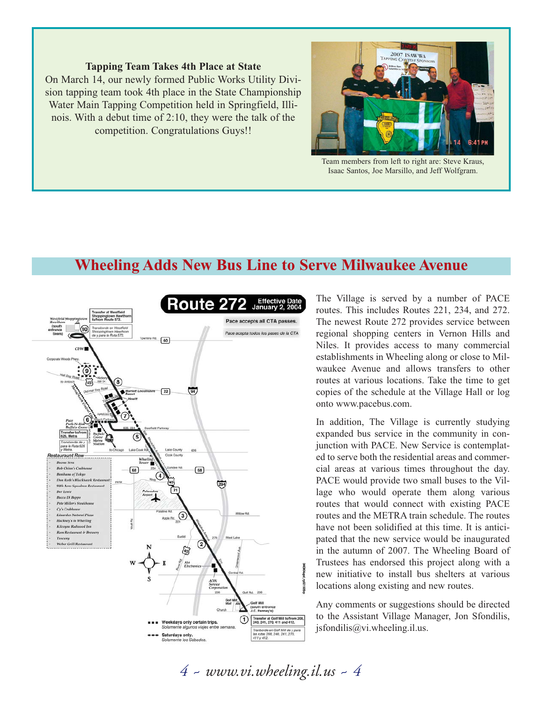### **Tapping Team Takes 4th Place at State**

On March 14, our newly formed Public Works Utility Division tapping team took 4th place in the State Championship Water Main Tapping Competition held in Springfield, Illinois. With a debut time of 2:10, they were the talk of the competition. Congratulations Guys!!



Team members from left to right are: Steve Kraus, Isaac Santos, Joe Marsillo, and Jeff Wolfgram.

## **Wheeling Adds New Bus Line to Serve Milwaukee Avenue**



The Village is served by a number of PACE routes. This includes Routes 221, 234, and 272. The newest Route 272 provides service between regional shopping centers in Vernon Hills and Niles. It provides access to many commercial establishments in Wheeling along or close to Milwaukee Avenue and allows transfers to other routes at various locations. Take the time to get copies of the schedule at the Village Hall or log onto www.pacebus.com.

In addition, The Village is currently studying expanded bus service in the community in conjunction with PACE. New Service is contemplated to serve both the residential areas and commercial areas at various times throughout the day. PACE would provide two small buses to the Village who would operate them along various routes that would connect with existing PACE routes and the METRA train schedule. The routes have not been solidified at this time. It is anticipated that the new service would be inaugurated in the autumn of 2007. The Wheeling Board of Trustees has endorsed this project along with a new initiative to install bus shelters at various locations along existing and new routes.

Any comments or suggestions should be directed to the Assistant Village Manager, Jon Sfondilis, jsfondilis@vi.wheeling.il.us.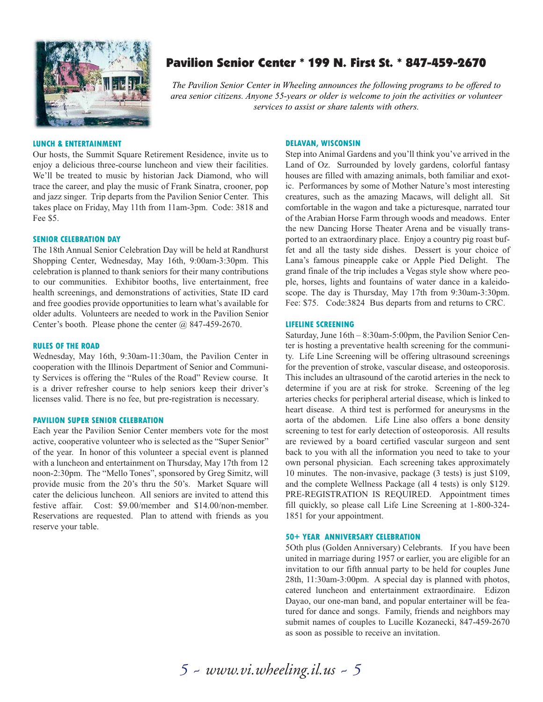

### Pavilion Senior Center \* 199 N. First St. \* 847-459-2670

*The Pavilion Senior Center in Wheeling announces the following programs to be offered to area senior citizens. Anyone 55-years or older is welcome to join the activities or volunteer services to assist or share talents with others.*

#### **LUNCH & ENTERTAINMENT**

Our hosts, the Summit Square Retirement Residence, invite us to enjoy a delicious three-course luncheon and view their facilities. We'll be treated to music by historian Jack Diamond, who will trace the career, and play the music of Frank Sinatra, crooner, pop and jazz singer. Trip departs from the Pavilion Senior Center. This takes place on Friday, May 11th from 11am-3pm. Code: 3818 and Fee \$5.

#### **SENIOR CELEBRATION DAY**

The 18th Annual Senior Celebration Day will be held at Randhurst Shopping Center, Wednesday, May 16th, 9:00am-3:30pm. This celebration is planned to thank seniors for their many contributions to our communities. Exhibitor booths, live entertainment, free health screenings, and demonstrations of activities, State ID card and free goodies provide opportunities to learn what's available for older adults. Volunteers are needed to work in the Pavilion Senior Center's booth. Please phone the center @ 847-459-2670.

#### **RULES OF THE ROAD**

Wednesday, May 16th, 9:30am-11:30am, the Pavilion Center in cooperation with the Illinois Department of Senior and Community Services is offering the "Rules of the Road" Review course. It is a driver refresher course to help seniors keep their driver's licenses valid. There is no fee, but pre-registration is necessary.

#### **PAVILION SUPER SENIOR CELEBRATION**

Each year the Pavilion Senior Center members vote for the most active, cooperative volunteer who is selected as the "Super Senior" of the year. In honor of this volunteer a special event is planned with a luncheon and entertainment on Thursday, May 17th from 12 noon-2:30pm. The "Mello Tones", sponsored by Greg Simitz, will provide music from the 20's thru the 50's. Market Square will cater the delicious luncheon. All seniors are invited to attend this festive affair. Cost: \$9.00/member and \$14.00/non-member. Reservations are requested. Plan to attend with friends as you reserve your table.

#### **DELAVAN, WISCONSIN**

Step into Animal Gardens and you'll think you've arrived in the Land of Oz. Surrounded by lovely gardens, colorful fantasy houses are filled with amazing animals, both familiar and exotic. Performances by some of Mother Nature's most interesting creatures, such as the amazing Macaws, will delight all. Sit comfortable in the wagon and take a picturesque, narrated tour of the Arabian Horse Farm through woods and meadows. Enter the new Dancing Horse Theater Arena and be visually transported to an extraordinary place. Enjoy a country pig roast buffet and all the tasty side dishes. Dessert is your choice of Lana's famous pineapple cake or Apple Pied Delight. The grand finale of the trip includes a Vegas style show where people, horses, lights and fountains of water dance in a kaleidoscope. The day is Thursday, May 17th from 9:30am-3:30pm. Fee: \$75. Code:3824 Bus departs from and returns to CRC.

#### **LIFELINE SCREENING**

Saturday, June 16th – 8:30am-5:00pm, the Pavilion Senior Center is hosting a preventative health screening for the community. Life Line Screening will be offering ultrasound screenings for the prevention of stroke, vascular disease, and osteoporosis. This includes an ultrasound of the carotid arteries in the neck to determine if you are at risk for stroke. Screening of the leg arteries checks for peripheral arterial disease, which is linked to heart disease. A third test is performed for aneurysms in the aorta of the abdomen. Life Line also offers a bone density screening to test for early detection of osteoporosis. All results are reviewed by a board certified vascular surgeon and sent back to you with all the information you need to take to your own personal physician. Each screening takes approximately 10 minutes. The non-invasive, package (3 tests) is just \$109, and the complete Wellness Package (all 4 tests) is only \$129. PRE-REGISTRATION IS REQUIRED. Appointment times fill quickly, so please call Life Line Screening at 1-800-324- 1851 for your appointment.

#### **50+ YEAR ANNIVERSARY CELEBRATION**

5Oth plus (Golden Anniversary) Celebrants. If you have been united in marriage during 1957 or earlier, you are eligible for an invitation to our fifth annual party to be held for couples June 28th, 11:30am-3:00pm. A special day is planned with photos, catered luncheon and entertainment extraordinaire. Edizon Dayao, our one-man band, and popular entertainer will be featured for dance and songs. Family, friends and neighbors may submit names of couples to Lucille Kozanecki, 847-459-2670 as soon as possible to receive an invitation.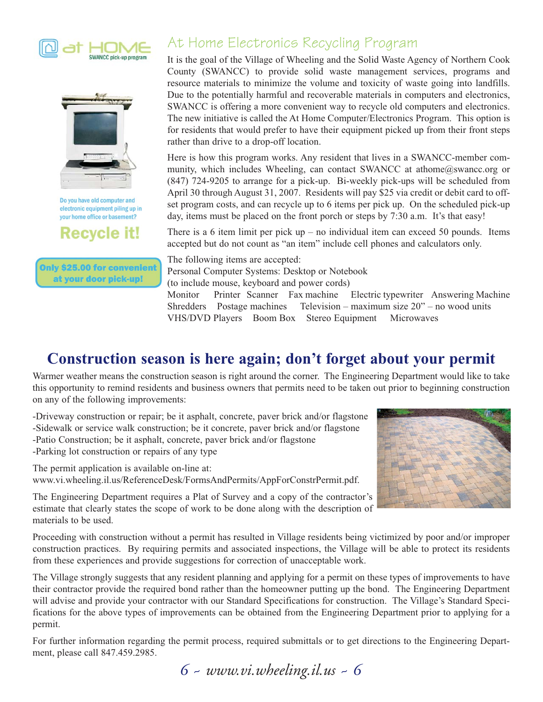



Do you have old computer and electronic equipment piling up in your home office or basement?

**Recycle it!** 

Only \$25.00 for convenient at your door pick-up!

## At Home Electronics Recycling Program

It is the goal of the Village of Wheeling and the Solid Waste Agency of Northern Cook County (SWANCC) to provide solid waste management services, programs and resource materials to minimize the volume and toxicity of waste going into landfills. Due to the potentially harmful and recoverable materials in computers and electronics, SWANCC is offering a more convenient way to recycle old computers and electronics. The new initiative is called the At Home Computer/Electronics Program. This option is for residents that would prefer to have their equipment picked up from their front steps rather than drive to a drop-off location.

Here is how this program works. Any resident that lives in a SWANCC-member community, which includes Wheeling, can contact SWANCC at athome@swancc.org or (847) 724-9205 to arrange for a pick-up. Bi-weekly pick-ups will be scheduled from April 30 through August 31, 2007. Residents will pay \$25 via credit or debit card to offset program costs, and can recycle up to 6 items per pick up. On the scheduled pick-up day, items must be placed on the front porch or steps by 7:30 a.m. It's that easy!

There is a 6 item limit per pick  $up - no$  individual item can exceed 50 pounds. Items accepted but do not count as "an item" include cell phones and calculators only.

The following items are accepted: Personal Computer Systems: Desktop or Notebook (to include mouse, keyboard and power cords) Monitor Printer Scanner Fax machine Electric typewriter Answering Machine Shredders Postage machines Television – maximum size 20" – no wood units VHS/DVD Players Boom Box Stereo Equipment Microwaves

# **Construction season is here again; don't forget about your permit**

Warmer weather means the construction season is right around the corner. The Engineering Department would like to take this opportunity to remind residents and business owners that permits need to be taken out prior to beginning construction on any of the following improvements:

-Driveway construction or repair; be it asphalt, concrete, paver brick and/or flagstone -Sidewalk or service walk construction; be it concrete, paver brick and/or flagstone -Patio Construction; be it asphalt, concrete, paver brick and/or flagstone -Parking lot construction or repairs of any type

The permit application is available on-line at: www.vi.wheeling.il.us/ReferenceDesk/FormsAndPermits/AppForConstrPermit.pdf.



The Engineering Department requires a Plat of Survey and a copy of the contractor's estimate that clearly states the scope of work to be done along with the description of materials to be used.

Proceeding with construction without a permit has resulted in Village residents being victimized by poor and/or improper construction practices. By requiring permits and associated inspections, the Village will be able to protect its residents from these experiences and provide suggestions for correction of unacceptable work.

The Village strongly suggests that any resident planning and applying for a permit on these types of improvements to have their contractor provide the required bond rather than the homeowner putting up the bond. The Engineering Department will advise and provide your contractor with our Standard Specifications for construction. The Village's Standard Specifications for the above types of improvements can be obtained from the Engineering Department prior to applying for a permit.

For further information regarding the permit process, required submittals or to get directions to the Engineering Department, please call 847.459.2985.

*6 ~ www.vi.wheeling.il.us ~ 6*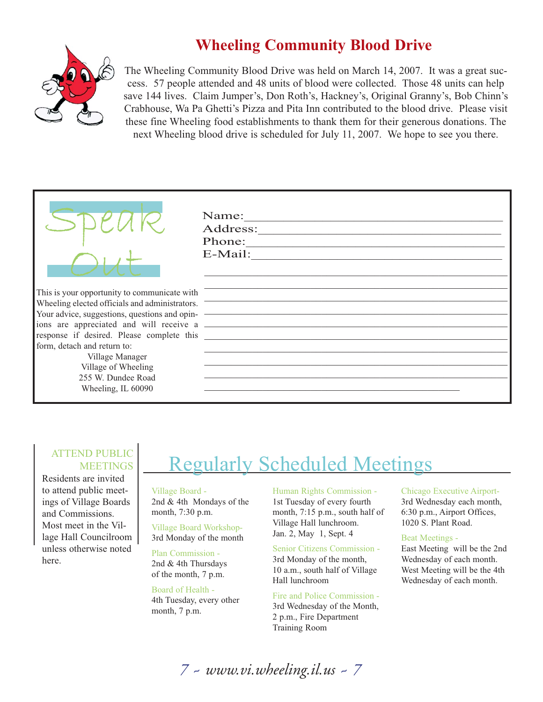# **Wheeling Community Blood Drive**



The Wheeling Community Blood Drive was held on March 14, 2007. It was a great success. 57 people attended and 48 units of blood were collected. Those 48 units can help save 144 lives. Claim Jumper's, Don Roth's, Hackney's, Original Granny's, Bob Chinn's Crabhouse, Wa Pa Ghetti's Pizza and Pita Inn contributed to the blood drive. Please visit these fine Wheeling food establishments to thank them for their generous donations. The next Wheeling blood drive is scheduled for July 11, 2007. We hope to see you there.

|                                                | Name:<br>Address:<br>Phone:<br>E-Mail: |
|------------------------------------------------|----------------------------------------|
| This is your opportunity to communicate with   |                                        |
| Wheeling elected officials and administrators. |                                        |
| Your advice, suggestions, questions and opin-  |                                        |
|                                                |                                        |
| response if desired. Please complete this      |                                        |
| form, detach and return to:                    |                                        |
| Village Manager                                |                                        |
| Village of Wheeling                            |                                        |
| 255 W. Dundee Road                             |                                        |
| Wheeling, IL 60090                             |                                        |
|                                                |                                        |

### ATTEND PUBLIC MEETINGS

Residents are invited to attend public meetings of Village Boards and Commissions. Most meet in the Village Hall Councilroom unless otherwise noted here.

# Regularly Scheduled Meetings

### Village Board - 2nd & 4th Mondays of the

month, 7:30 p.m. Village Board Workshop-3rd Monday of the month

Plan Commission - 2nd & 4th Thursdays of the month, 7 p.m.

Board of Health - 4th Tuesday, every other month, 7 p.m.

Human Rights Commission - 1st Tuesday of every fourth month, 7:15 p.m., south half of Village Hall lunchroom. Jan. 2, May 1, Sept. 4

### Senior Citizens Commission -

3rd Monday of the month, 10 a.m., south half of Village Hall lunchroom

Fire and Police Commission - 3rd Wednesday of the Month, 2 p.m., Fire Department Training Room

### Chicago Executive Airport-3rd Wednesday each month, 6:30 p.m., Airport Offices, 1020 S. Plant Road.

### Beat Meetings -

East Meeting will be the 2nd Wednesday of each month. West Meeting will be the 4th Wednesday of each month.